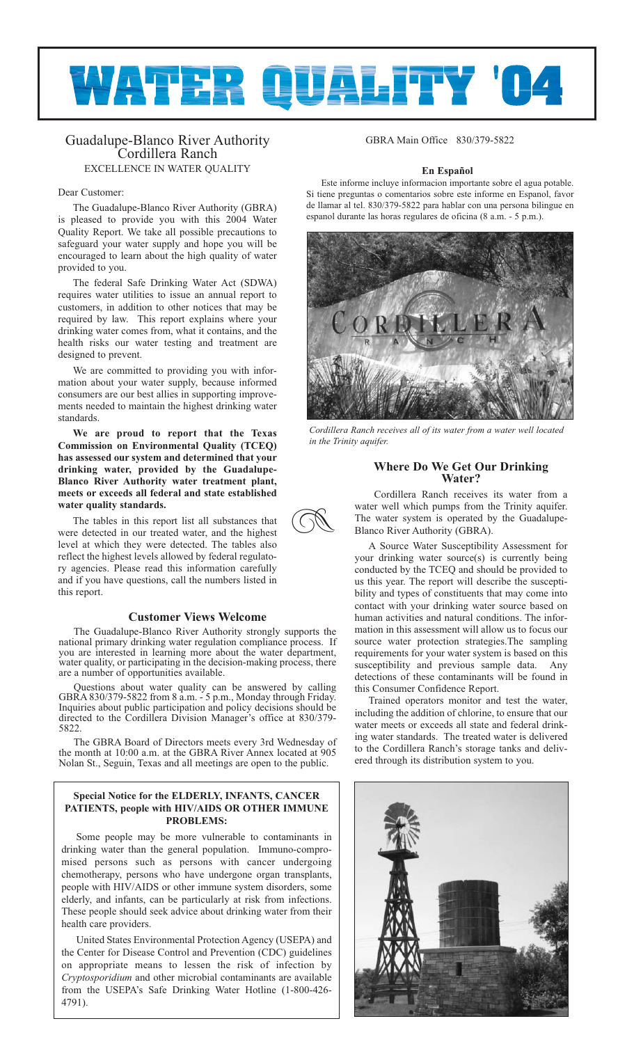# **WATER QUALITY '04**

R

# Guadalupe-Blanco River Authority Cordillera Ranch EXCELLENCE IN WATER QUALITY

### Dear Customer:

The Guadalupe-Blanco River Authority (GBRA) is pleased to provide you with this 2004 Water Quality Report. We take all possible precautions to safeguard your water supply and hope you will be encouraged to learn about the high quality of water provided to you.

The federal Safe Drinking Water Act (SDWA) requires water utilities to issue an annual report to customers, in addition to other notices that may be required by law. This report explains where your drinking water comes from, what it contains, and the health risks our water testing and treatment are designed to prevent.

We are committed to providing you with information about your water supply, because informed consumers are our best allies in supporting improvements needed to maintain the highest drinking water standards.

**We are proud to report that the Texas Commission on Environmental Quality (TCEQ) has assessed our system and determined that your drinking water, provided by the Guadalupe-Blanco River Authority water treatment plant, meets or exceeds all federal and state established water quality standards.**

The tables in this report list all substances that were detected in our treated water, and the highest level at which they were detected. The tables also reflect the highest levels allowed by federal regulatory agencies. Please read this information carefully and if you have questions, call the numbers listed in this report.

## **Customer Views Welcome**

The Guadalupe-Blanco River Authority strongly supports the national primary drinking water regulation compliance process. If you are interested in learning more about the water department, water quality, or participating in the decision-making process, there are a number of opportunities available.

Questions about water quality can be answered by calling GBRA 830/379-5822 from 8 a.m. - 5 p.m., Monday through Friday. Inquiries about public participation and policy decisions should be directed to the Cordillera Division Manager's office at 830/379- 5822.

The GBRA Board of Directors meets every 3rd Wednesday of the month at 10:00 a.m. at the GBRA River Annex located at 905 Nolan St., Seguin, Texas and all meetings are open to the public.

## **Special Notice for the ELDERLY, INFANTS, CANCER PATIENTS, people with HIV/AIDS OR OTHER IMMUNE PROBLEMS:**

Some people may be more vulnerable to contaminants in drinking water than the general population. Immuno-compromised persons such as persons with cancer undergoing chemotherapy, persons who have undergone organ transplants, people with HIV/AIDS or other immune system disorders, some elderly, and infants, can be particularly at risk from infections. These people should seek advice about drinking water from their health care providers.

United States Environmental Protection Agency (USEPA) and the Center for Disease Control and Prevention (CDC) guidelines on appropriate means to lessen the risk of infection by *Cryptosporidium* and other microbial contaminants are available from the USEPA's Safe Drinking Water Hotline (1-800-426- 4791).

GBRA Main Office 830/379-5822

### **En Español**

Este informe incluye informacion importante sobre el agua potable. Si tiene preguntas o comentarios sobre este informe en Espanol, favor de llamar al tel. 830/379-5822 para hablar con una persona bilingue en espanol durante las horas regulares de oficina (8 a.m. - 5 p.m.).



*Cordillera Ranch receives all of its water from a water well located in the Trinity aquifer.*

## **Where Do We Get Our Drinking Water?**

Cordillera Ranch receives its water from a water well which pumps from the Trinity aquifer. The water system is operated by the Guadalupe-Blanco River Authority (GBRA).

A Source Water Susceptibility Assessment for your drinking water source(s) is currently being conducted by the TCEQ and should be provided to us this year. The report will describe the susceptibility and types of constituents that may come into contact with your drinking water source based on human activities and natural conditions. The information in this assessment will allow us to focus our source water protection strategies.The sampling requirements for your water system is based on this susceptibility and previous sample data. Any detections of these contaminants will be found in this Consumer Confidence Report.

Trained operators monitor and test the water, including the addition of chlorine, to ensure that our water meets or exceeds all state and federal drinking water standards. The treated water is delivered to the Cordillera Ranch's storage tanks and delivered through its distribution system to you.